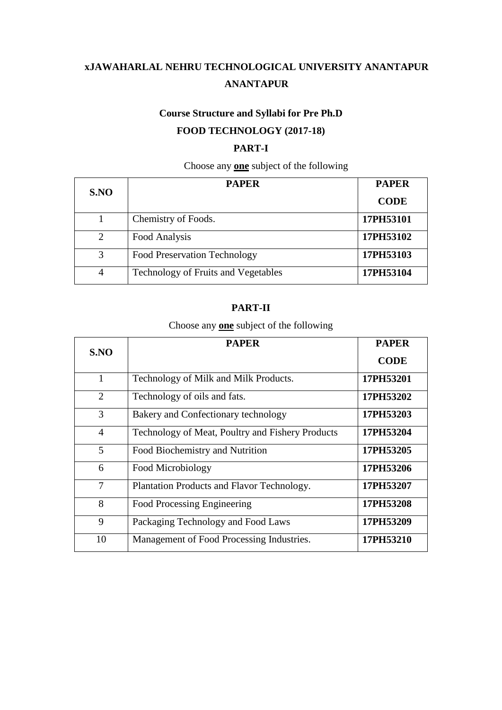# **Course Structure and Syllabi for Pre Ph.D FOOD TECHNOLOGY (2017-18)**

# **PART-I**

# Choose any **one** subject of the following

| S.NO                  | <b>PAPER</b>                        | <b>PAPER</b> |
|-----------------------|-------------------------------------|--------------|
|                       |                                     | <b>CODE</b>  |
|                       | Chemistry of Foods.                 | 17PH53101    |
| $\mathcal{D}_{\cdot}$ | Food Analysis                       | 17PH53102    |
| 3                     | <b>Food Preservation Technology</b> | 17PH53103    |
| $\overline{4}$        | Technology of Fruits and Vegetables | 17PH53104    |

### **PART-II**

# Choose any **one** subject of the following

|                | <b>PAPER</b>                                     | <b>PAPER</b> |
|----------------|--------------------------------------------------|--------------|
| S.NO           |                                                  |              |
|                |                                                  | <b>CODE</b>  |
| 1              | Technology of Milk and Milk Products.            | 17PH53201    |
| $\overline{2}$ | Technology of oils and fats.                     | 17PH53202    |
| 3              | Bakery and Confectionary technology              | 17PH53203    |
| $\overline{4}$ | Technology of Meat, Poultry and Fishery Products | 17PH53204    |
| 5              | Food Biochemistry and Nutrition                  | 17PH53205    |
| 6              | Food Microbiology                                | 17PH53206    |
| $\tau$         | Plantation Products and Flavor Technology.       | 17PH53207    |
| 8              | Food Processing Engineering                      | 17PH53208    |
| 9              | Packaging Technology and Food Laws               | 17PH53209    |
| 10             | Management of Food Processing Industries.        | 17PH53210    |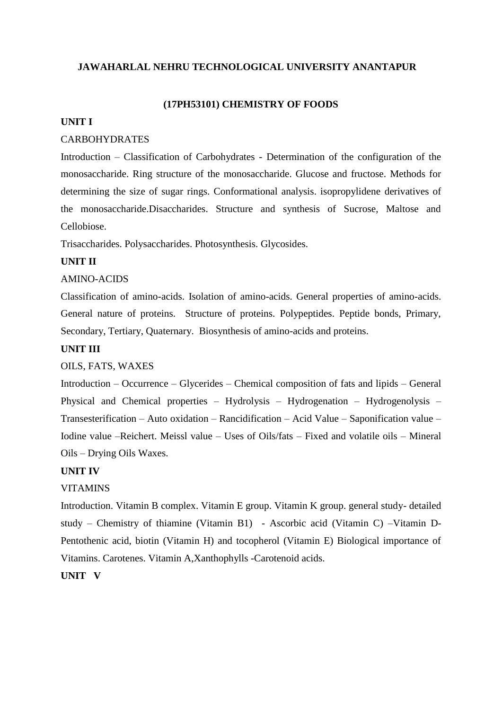### **(17PH53101) CHEMISTRY OF FOODS**

#### **UNIT I**

### CARBOHYDRATES

Introduction – Classification of Carbohydrates - Determination of the configuration of the monosaccharide. Ring structure of the monosaccharide. Glucose and fructose. Methods for determining the size of sugar rings. Conformational analysis. isopropylidene derivatives of the monosaccharide.Disaccharides. Structure and synthesis of Sucrose, Maltose and Cellobiose.

Trisaccharides. Polysaccharides. Photosynthesis. Glycosides.

### **UNIT II**

#### AMINO-ACIDS

Classification of amino-acids. Isolation of amino-acids. General properties of amino-acids. General nature of proteins. Structure of proteins. Polypeptides. Peptide bonds, Primary, Secondary, Tertiary, Quaternary. Biosynthesis of amino-acids and proteins.

### **UNIT III**

### OILS, FATS, WAXES

Introduction – Occurrence – Glycerides – Chemical composition of fats and lipids – General Physical and Chemical properties – Hydrolysis – Hydrogenation – Hydrogenolysis – Transesterification – Auto oxidation – Rancidification – Acid Value – Saponification value – Iodine value –Reichert. Meissl value – Uses of Oils/fats – Fixed and volatile oils – Mineral Oils – Drying Oils Waxes.

#### **UNIT IV**

#### VITAMINS

Introduction. Vitamin B complex. Vitamin E group. Vitamin K group. general study- detailed study – Chemistry of thiamine (Vitamin B1) - Ascorbic acid (Vitamin C) –Vitamin D-Pentothenic acid, biotin (Vitamin H) and tocopherol (Vitamin E) Biological importance of Vitamins. Carotenes. Vitamin A,Xanthophylls -Carotenoid acids.

**UNIT V**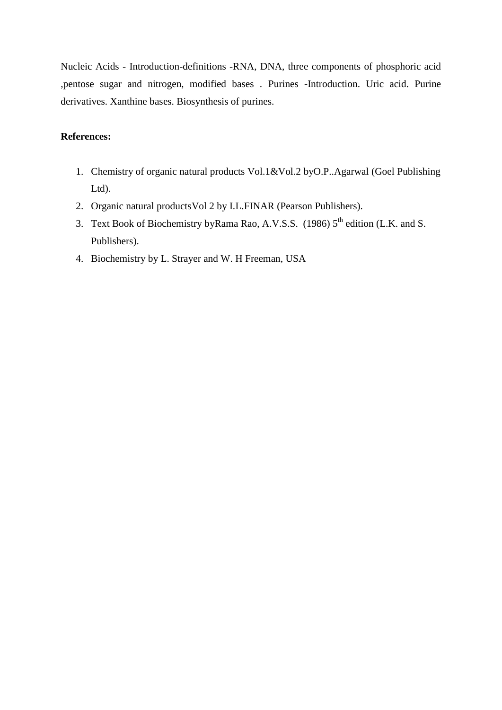Nucleic Acids - Introduction-definitions -RNA, DNA, three components of phosphoric acid ,pentose sugar and nitrogen, modified bases . Purines -Introduction. Uric acid. Purine derivatives. Xanthine bases. Biosynthesis of purines.

- 1. Chemistry of organic natural products Vol.1&Vol.2 byO.P..Agarwal (Goel Publishing Ltd).
- 2. Organic natural productsVol 2 by I.L.FINAR (Pearson Publishers).
- 3. Text Book of Biochemistry byRama Rao, A.V.S.S. (1986) 5<sup>th</sup> edition (L.K. and S. Publishers).
- 4. Biochemistry by L. Strayer and W. H Freeman, USA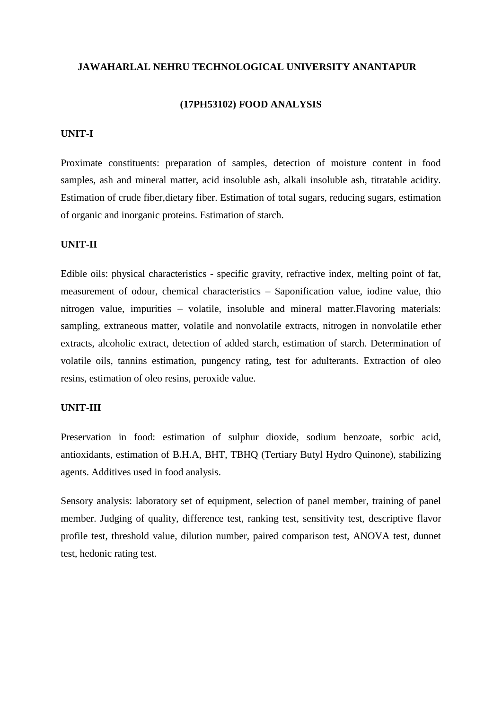#### **(17PH53102) FOOD ANALYSIS**

### **UNIT-I**

Proximate constituents: preparation of samples, detection of moisture content in food samples, ash and mineral matter, acid insoluble ash, alkali insoluble ash, titratable acidity. Estimation of crude fiber,dietary fiber. Estimation of total sugars, reducing sugars, estimation of organic and inorganic proteins. Estimation of starch.

#### **UNIT-II**

Edible oils: physical characteristics - specific gravity, refractive index, melting point of fat, measurement of odour, chemical characteristics – Saponification value, iodine value, thio nitrogen value, impurities – volatile, insoluble and mineral matter.Flavoring materials: sampling, extraneous matter, volatile and nonvolatile extracts, nitrogen in nonvolatile ether extracts, alcoholic extract, detection of added starch, estimation of starch. Determination of volatile oils, tannins estimation, pungency rating, test for adulterants. Extraction of oleo resins, estimation of oleo resins, peroxide value.

#### **UNIT-III**

Preservation in food: estimation of sulphur dioxide, sodium benzoate, sorbic acid, antioxidants, estimation of B.H.A, BHT, TBHQ (Tertiary Butyl Hydro Quinone), stabilizing agents. Additives used in food analysis.

Sensory analysis: laboratory set of equipment, selection of panel member, training of panel member. Judging of quality, difference test, ranking test, sensitivity test, descriptive flavor profile test, threshold value, dilution number, paired comparison test, ANOVA test, dunnet test, hedonic rating test.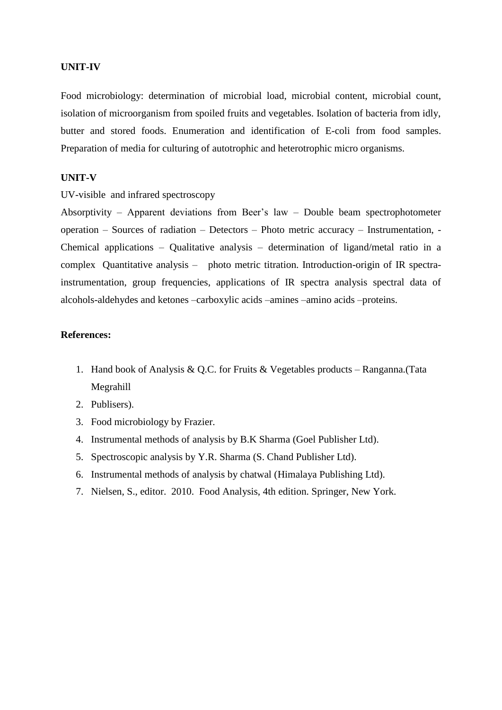#### **UNIT-IV**

Food microbiology: determination of microbial load, microbial content, microbial count, isolation of microorganism from spoiled fruits and vegetables. Isolation of bacteria from idly, butter and stored foods. Enumeration and identification of E-coli from food samples. Preparation of media for culturing of autotrophic and heterotrophic micro organisms.

#### **UNIT-V**

UV-visible and infrared spectroscopy

Absorptivity – Apparent deviations from Beer's law – Double beam spectrophotometer operation – Sources of radiation – Detectors – Photo metric accuracy – Instrumentation, - Chemical applications – Qualitative analysis – determination of ligand/metal ratio in a complex Quantitative analysis – photo metric titration. Introduction-origin of IR spectrainstrumentation, group frequencies, applications of IR spectra analysis spectral data of alcohols-aldehydes and ketones –carboxylic acids –amines –amino acids –proteins.

- 1. Hand book of Analysis & Q.C. for Fruits & Vegetables products Ranganna.(Tata Megrahill
- 2. Publisers).
- 3. Food microbiology by Frazier.
- 4. Instrumental methods of analysis by B.K Sharma (Goel Publisher Ltd).
- 5. Spectroscopic analysis by Y.R. Sharma (S. Chand Publisher Ltd).
- 6. Instrumental methods of analysis by chatwal (Himalaya Publishing Ltd).
- 7. Nielsen, S., editor. 2010. Food Analysis, 4th edition. Springer, New York.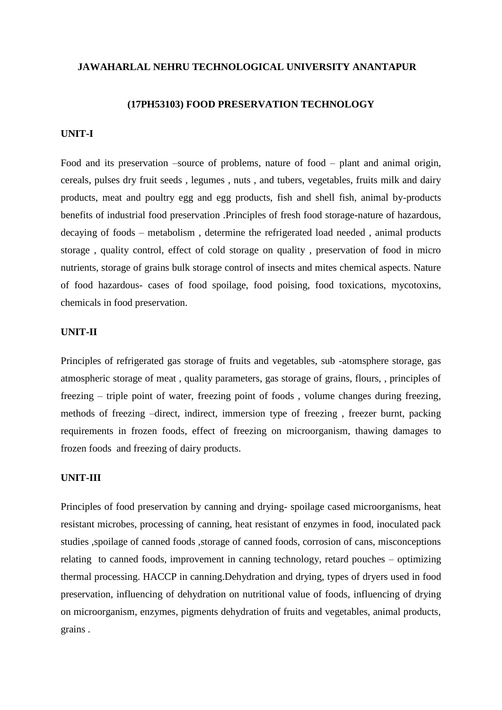#### **(17PH53103) FOOD PRESERVATION TECHNOLOGY**

### **UNIT-I**

Food and its preservation –source of problems, nature of food – plant and animal origin, cereals, pulses dry fruit seeds , legumes , nuts , and tubers, vegetables, fruits milk and dairy products, meat and poultry egg and egg products, fish and shell fish, animal by-products benefits of industrial food preservation .Principles of fresh food storage-nature of hazardous, decaying of foods – metabolism , determine the refrigerated load needed , animal products storage , quality control, effect of cold storage on quality , preservation of food in micro nutrients, storage of grains bulk storage control of insects and mites chemical aspects. Nature of food hazardous- cases of food spoilage, food poising, food toxications, mycotoxins, chemicals in food preservation.

#### **UNIT-II**

Principles of refrigerated gas storage of fruits and vegetables, sub -atomsphere storage, gas atmospheric storage of meat , quality parameters, gas storage of grains, flours, , principles of freezing – triple point of water, freezing point of foods , volume changes during freezing, methods of freezing –direct, indirect, immersion type of freezing , freezer burnt, packing requirements in frozen foods, effect of freezing on microorganism, thawing damages to frozen foods and freezing of dairy products.

### **UNIT-III**

Principles of food preservation by canning and drying- spoilage cased microorganisms, heat resistant microbes, processing of canning, heat resistant of enzymes in food, inoculated pack studies ,spoilage of canned foods ,storage of canned foods, corrosion of cans, misconceptions relating to canned foods, improvement in canning technology, retard pouches – optimizing thermal processing. HACCP in canning.Dehydration and drying, types of dryers used in food preservation, influencing of dehydration on nutritional value of foods, influencing of drying on microorganism, enzymes, pigments dehydration of fruits and vegetables, animal products, grains .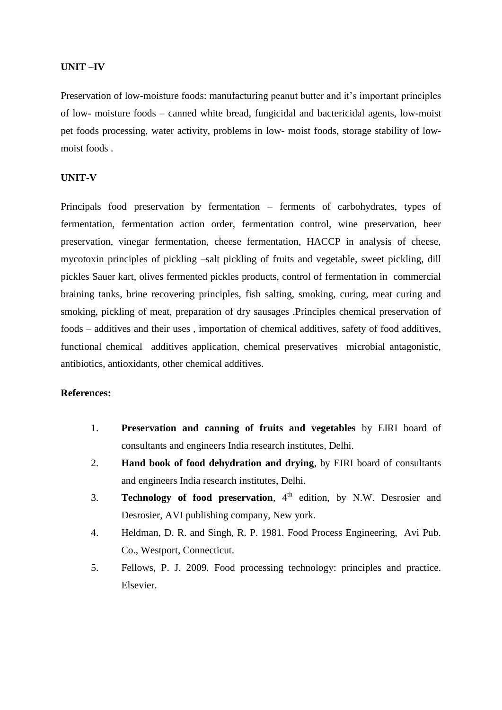#### **UNIT –IV**

Preservation of low-moisture foods: manufacturing peanut butter and it's important principles of low- moisture foods – canned white bread, fungicidal and bactericidal agents, low-moist pet foods processing, water activity, problems in low- moist foods, storage stability of lowmoist foods .

#### **UNIT-V**

Principals food preservation by fermentation – ferments of carbohydrates, types of fermentation, fermentation action order, fermentation control, wine preservation, beer preservation, vinegar fermentation, cheese fermentation, HACCP in analysis of cheese, mycotoxin principles of pickling –salt pickling of fruits and vegetable, sweet pickling, dill pickles Sauer kart, olives fermented pickles products, control of fermentation in commercial braining tanks, brine recovering principles, fish salting, smoking, curing, meat curing and smoking, pickling of meat, preparation of dry sausages .Principles chemical preservation of foods – additives and their uses , importation of chemical additives, safety of food additives, functional chemical additives application, chemical preservatives microbial antagonistic, antibiotics, antioxidants, other chemical additives.

- 1. **Preservation and canning of fruits and vegetables** by EIRI board of consultants and engineers India research institutes, Delhi.
- 2. **Hand book of food dehydration and drying**, by EIRI board of consultants and engineers India research institutes, Delhi.
- 3. **Technology of food preservation**, 4<sup>th</sup> edition, by N.W. Desrosier and Desrosier, AVI publishing company, New york.
- 4. Heldman, D. R. and Singh, R. P. 1981. Food Process Engineering, Avi Pub. Co., Westport, Connecticut.
- 5. Fellows, P. J. 2009. Food processing technology: principles and practice. Elsevier.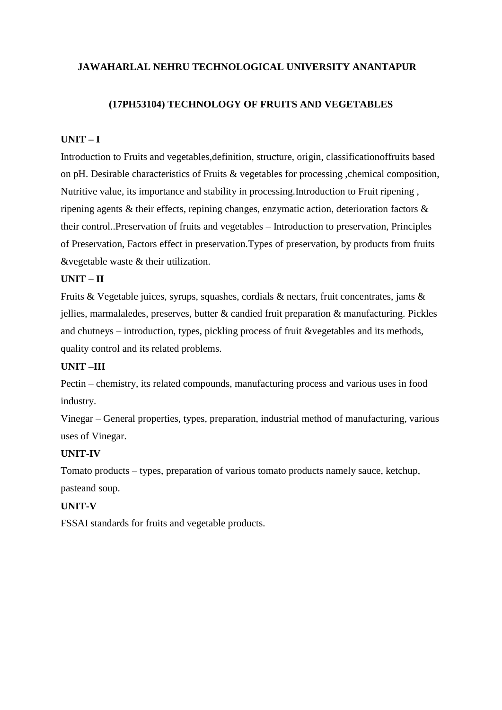### **(17PH53104) TECHNOLOGY OF FRUITS AND VEGETABLES**

### **UNIT – I**

Introduction to Fruits and vegetables,definition, structure, origin, classificationoffruits based on pH. Desirable characteristics of Fruits & vegetables for processing ,chemical composition, Nutritive value, its importance and stability in processing.Introduction to Fruit ripening , ripening agents & their effects, repining changes, enzymatic action, deterioration factors & their control..Preservation of fruits and vegetables – Introduction to preservation, Principles of Preservation, Factors effect in preservation.Types of preservation, by products from fruits &vegetable waste & their utilization.

### **UNIT – II**

Fruits & Vegetable juices, syrups, squashes, cordials & nectars, fruit concentrates, jams & jellies, marmalaledes, preserves, butter & candied fruit preparation & manufacturing. Pickles and chutneys – introduction, types, pickling process of fruit &vegetables and its methods, quality control and its related problems.

### **UNIT –III**

Pectin – chemistry, its related compounds, manufacturing process and various uses in food industry.

Vinegar – General properties, types, preparation, industrial method of manufacturing, various uses of Vinegar.

### **UNIT-IV**

Tomato products – types, preparation of various tomato products namely sauce, ketchup, pasteand soup.

### **UNIT-V**

FSSAI standards for fruits and vegetable products.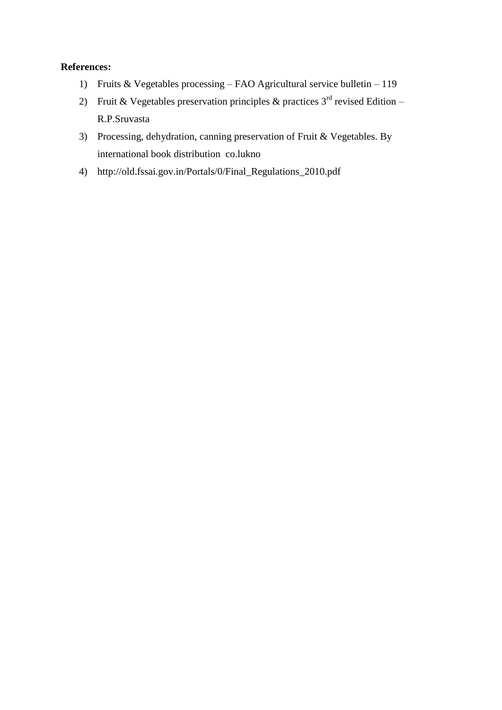- 1) Fruits & Vegetables processing FAO Agricultural service bulletin 119
- 2) Fruit & Vegetables preservation principles & practices  $3<sup>rd</sup>$  revised Edition R.P.Sruvasta
- 3) Processing, dehydration, canning preservation of Fruit & Vegetables. By international book distribution co.lukno
- 4) http://old.fssai.gov.in/Portals/0/Final\_Regulations\_2010.pdf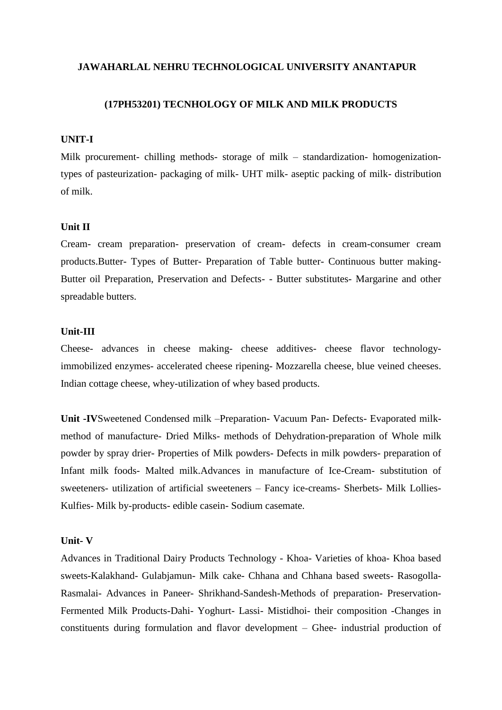#### **(17PH53201) TECNHOLOGY OF MILK AND MILK PRODUCTS**

#### **UNIT-I**

Milk procurement- chilling methods- storage of milk – standardization- homogenizationtypes of pasteurization- packaging of milk- UHT milk- aseptic packing of milk- distribution of milk.

### **Unit II**

Cream- cream preparation- preservation of cream- defects in cream-consumer cream products.Butter- Types of Butter- Preparation of Table butter- Continuous butter making-Butter oil Preparation, Preservation and Defects- - Butter substitutes- Margarine and other spreadable butters.

### **Unit-III**

Cheese- advances in cheese making- cheese additives- cheese flavor technologyimmobilized enzymes- accelerated cheese ripening- Mozzarella cheese, blue veined cheeses. Indian cottage cheese, whey-utilization of whey based products.

**Unit -IV**Sweetened Condensed milk –Preparation- Vacuum Pan- Defects- Evaporated milkmethod of manufacture- Dried Milks- methods of Dehydration-preparation of Whole milk powder by spray drier- Properties of Milk powders- Defects in milk powders- preparation of Infant milk foods- Malted milk.Advances in manufacture of Ice-Cream- substitution of sweeteners- utilization of artificial sweeteners – Fancy ice-creams- Sherbets- Milk Lollies-Kulfies- Milk by-products- edible casein- Sodium casemate.

#### **Unit- V**

Advances in Traditional Dairy Products Technology - Khoa- Varieties of khoa- Khoa based sweets-Kalakhand- Gulabjamun- Milk cake- Chhana and Chhana based sweets- Rasogolla-Rasmalai- Advances in Paneer- Shrikhand-Sandesh-Methods of preparation- Preservation-Fermented Milk Products-Dahi- Yoghurt- Lassi- Mistidhoi- their composition -Changes in constituents during formulation and flavor development – Ghee- industrial production of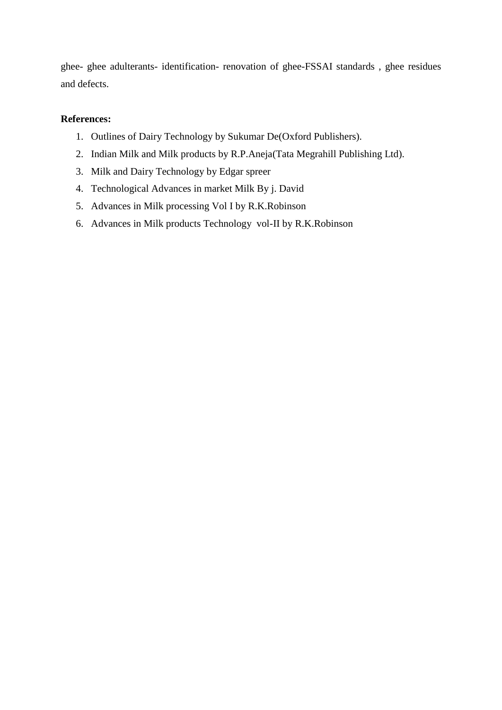ghee- ghee adulterants- identification- renovation of ghee-FSSAI standards , ghee residues and defects.

- 1. Outlines of Dairy Technology by Sukumar De(Oxford Publishers).
- 2. Indian Milk and Milk products by R.P.Aneja(Tata Megrahill Publishing Ltd).
- 3. Milk and Dairy Technology by Edgar spreer
- 4. Technological Advances in market Milk By j. David
- 5. Advances in Milk processing Vol I by R.K.Robinson
- 6. Advances in Milk products Technology vol-II by R.K.Robinson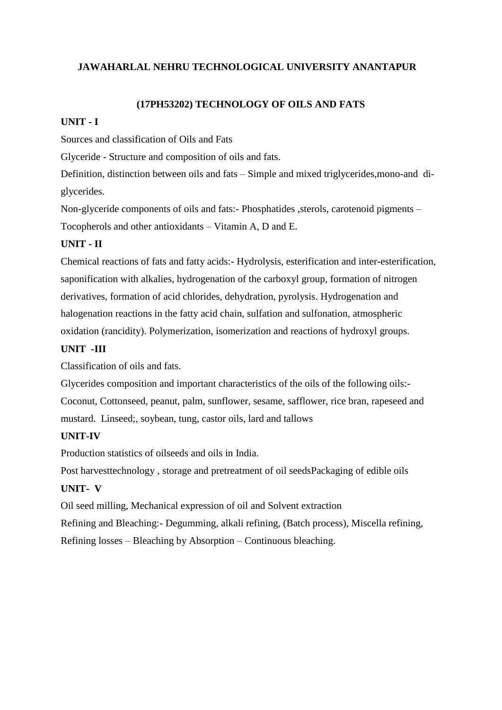### **(17PH53202) TECHNOLOGY OF OILS AND FATS**

### **UNIT - I**

Sources and classification of Oils and Fats

Glyceride - Structure and composition of oils and fats.

Definition, distinction between oils and fats – Simple and mixed triglycerides,mono-and diglycerides.

Non-glyceride components of oils and fats:- Phosphatides ,sterols, carotenoid pigments – Tocopherols and other antioxidants – Vitamin A, D and E.

## **UNIT - II**

Chemical reactions of fats and fatty acids:- Hydrolysis, esterification and inter-esterification, saponification with alkalies, hydrogenation of the carboxyl group, formation of nitrogen derivatives, formation of acid chlorides, dehydration, pyrolysis. Hydrogenation and halogenation reactions in the fatty acid chain, sulfation and sulfonation, atmospheric oxidation (rancidity). Polymerization, isomerization and reactions of hydroxyl groups.

# **UNIT -III**

Classification of oils and fats.

Glycerides composition and important characteristics of the oils of the following oils:- Coconut, Cottonseed, peanut, palm, sunflower, sesame, safflower, rice bran, rapeseed and mustard. Linseed;, soybean, tung, castor oils, lard and tallows

## **UNIT-IV**

Production statistics of oilseeds and oils in India.

Post harvesttechnology , storage and pretreatment of oil seedsPackaging of edible oils **UNIT- V**

Oil seed milling, Mechanical expression of oil and Solvent extraction Refining and Bleaching:- Degumming, alkali refining, (Batch process), Miscella refining, Refining losses – Bleaching by Absorption – Continuous bleaching.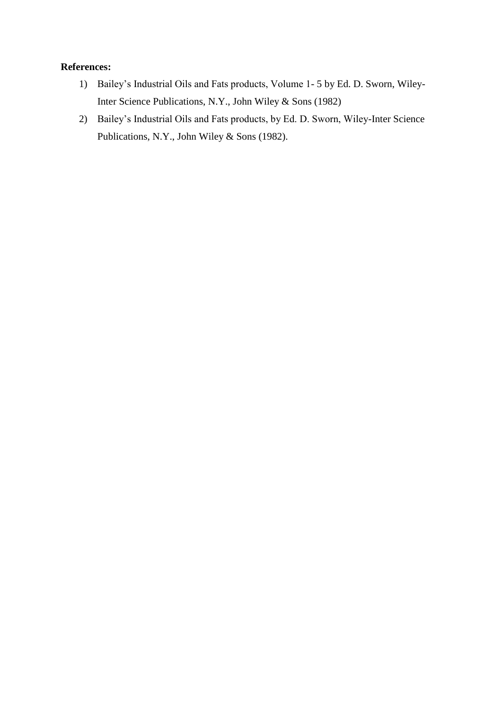- 1) Bailey's Industrial Oils and Fats products, Volume 1- 5 by Ed. D. Sworn, Wiley-Inter Science Publications, N.Y., John Wiley & Sons (1982)
- 2) Bailey's Industrial Oils and Fats products, by Ed. D. Sworn, Wiley-Inter Science Publications, N.Y., John Wiley & Sons (1982).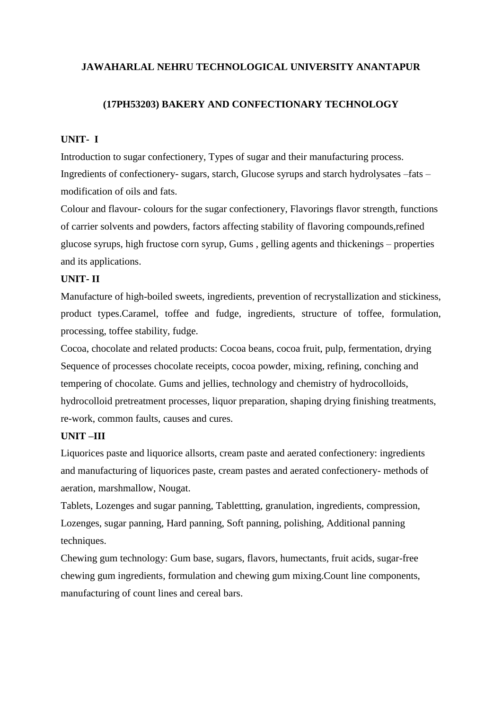### **(17PH53203) BAKERY AND CONFECTIONARY TECHNOLOGY**

### **UNIT- I**

Introduction to sugar confectionery, Types of sugar and their manufacturing process. Ingredients of confectionery- sugars, starch, Glucose syrups and starch hydrolysates –fats – modification of oils and fats.

Colour and flavour- colours for the sugar confectionery, Flavorings flavor strength, functions of carrier solvents and powders, factors affecting stability of flavoring compounds,refined glucose syrups, high fructose corn syrup, Gums , gelling agents and thickenings – properties and its applications.

### **UNIT- II**

Manufacture of high-boiled sweets, ingredients, prevention of recrystallization and stickiness, product types.Caramel, toffee and fudge, ingredients, structure of toffee, formulation, processing, toffee stability, fudge.

Cocoa, chocolate and related products: Cocoa beans, cocoa fruit, pulp, fermentation, drying Sequence of processes chocolate receipts, cocoa powder, mixing, refining, conching and tempering of chocolate. Gums and jellies, technology and chemistry of hydrocolloids, hydrocolloid pretreatment processes, liquor preparation, shaping drying finishing treatments, re-work, common faults, causes and cures.

### **UNIT –III**

Liquorices paste and liquorice allsorts, cream paste and aerated confectionery: ingredients and manufacturing of liquorices paste, cream pastes and aerated confectionery- methods of aeration, marshmallow, Nougat.

Tablets, Lozenges and sugar panning, Tablettting, granulation, ingredients, compression, Lozenges, sugar panning, Hard panning, Soft panning, polishing, Additional panning techniques.

Chewing gum technology: Gum base, sugars, flavors, humectants, fruit acids, sugar-free chewing gum ingredients, formulation and chewing gum mixing.Count line components, manufacturing of count lines and cereal bars.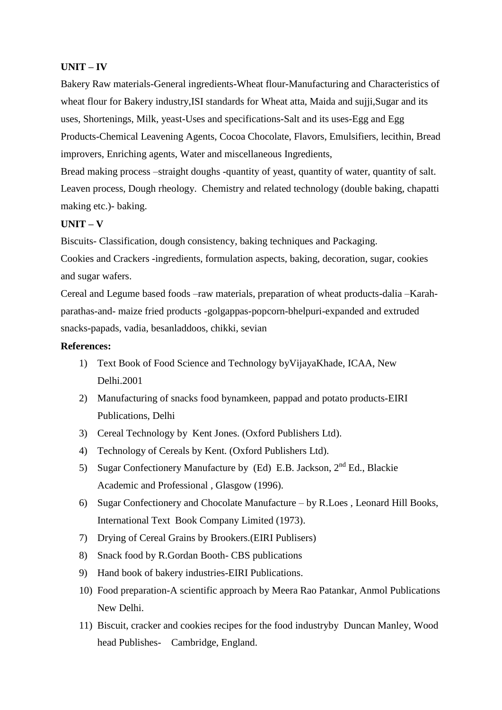### **UNIT – IV**

Bakery Raw materials-General ingredients-Wheat flour-Manufacturing and Characteristics of wheat flour for Bakery industry, ISI standards for Wheat atta, Maida and sujji, Sugar and its uses, Shortenings, Milk, yeast-Uses and specifications-Salt and its uses-Egg and Egg Products-Chemical Leavening Agents, Cocoa Chocolate, Flavors, Emulsifiers, lecithin, Bread improvers, Enriching agents, Water and miscellaneous Ingredients,

Bread making process –straight doughs -quantity of yeast, quantity of water, quantity of salt. Leaven process, Dough rheology. Chemistry and related technology (double baking, chapatti making etc.)- baking.

### **UNIT – V**

Biscuits- Classification, dough consistency, baking techniques and Packaging. Cookies and Crackers -ingredients, formulation aspects, baking, decoration, sugar, cookies and sugar wafers.

Cereal and Legume based foods –raw materials, preparation of wheat products-dalia –Karahparathas-and- maize fried products -golgappas-popcorn-bhelpuri-expanded and extruded snacks-papads, vadia, besanladdoos, chikki, sevian

- 1) Text Book of Food Science and Technology byVijayaKhade, ICAA, New Delhi.2001
- 2) Manufacturing of snacks food bynamkeen, pappad and potato products-EIRI Publications, Delhi
- 3) Cereal Technology by Kent Jones. (Oxford Publishers Ltd).
- 4) Technology of Cereals by Kent. (Oxford Publishers Ltd).
- 5) Sugar Confectionery Manufacture by (Ed) E.B. Jackson, 2<sup>nd</sup> Ed., Blackie Academic and Professional , Glasgow (1996).
- 6) Sugar Confectionery and Chocolate Manufacture by R.Loes , Leonard Hill Books, International Text Book Company Limited (1973).
- 7) Drying of Cereal Grains by Brookers.(EIRI Publisers)
- 8) Snack food by R.Gordan Booth- CBS publications
- 9) Hand book of bakery industries-EIRI Publications.
- 10) Food preparation-A scientific approach by Meera Rao Patankar, Anmol Publications New Delhi.
- 11) Biscuit, cracker and cookies recipes for the food industryby Duncan Manley, Wood head Publishes- Cambridge, England.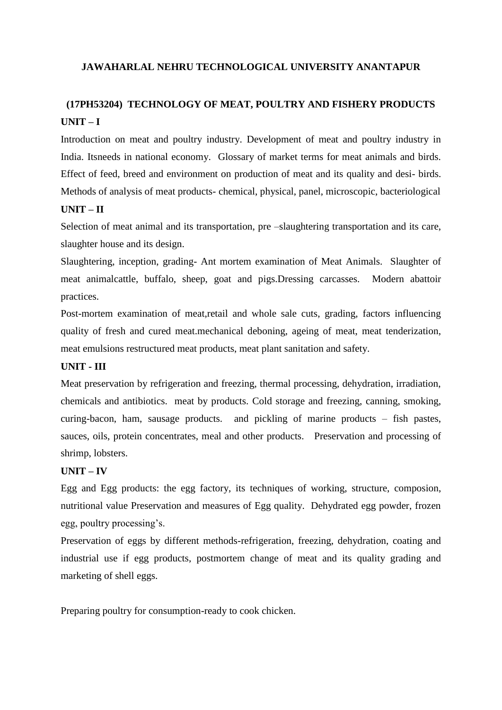# **(17PH53204) TECHNOLOGY OF MEAT, POULTRY AND FISHERY PRODUCTS UNIT – I**

Introduction on meat and poultry industry. Development of meat and poultry industry in India. Itsneeds in national economy. Glossary of market terms for meat animals and birds. Effect of feed, breed and environment on production of meat and its quality and desi- birds. Methods of analysis of meat products- chemical, physical, panel, microscopic, bacteriological

### **UNIT – II**

Selection of meat animal and its transportation, pre –slaughtering transportation and its care, slaughter house and its design.

Slaughtering, inception, grading- Ant mortem examination of Meat Animals. Slaughter of meat animalcattle, buffalo, sheep, goat and pigs.Dressing carcasses. Modern abattoir practices.

Post-mortem examination of meat,retail and whole sale cuts, grading, factors influencing quality of fresh and cured meat.mechanical deboning, ageing of meat, meat tenderization, meat emulsions restructured meat products, meat plant sanitation and safety.

### **UNIT - III**

Meat preservation by refrigeration and freezing, thermal processing, dehydration, irradiation, chemicals and antibiotics. meat by products. Cold storage and freezing, canning, smoking, curing-bacon, ham, sausage products. and pickling of marine products – fish pastes, sauces, oils, protein concentrates, meal and other products. Preservation and processing of shrimp, lobsters.

### **UNIT – IV**

Egg and Egg products: the egg factory, its techniques of working, structure, composion, nutritional value Preservation and measures of Egg quality. Dehydrated egg powder, frozen egg, poultry processing's.

Preservation of eggs by different methods-refrigeration, freezing, dehydration, coating and industrial use if egg products, postmortem change of meat and its quality grading and marketing of shell eggs.

Preparing poultry for consumption-ready to cook chicken.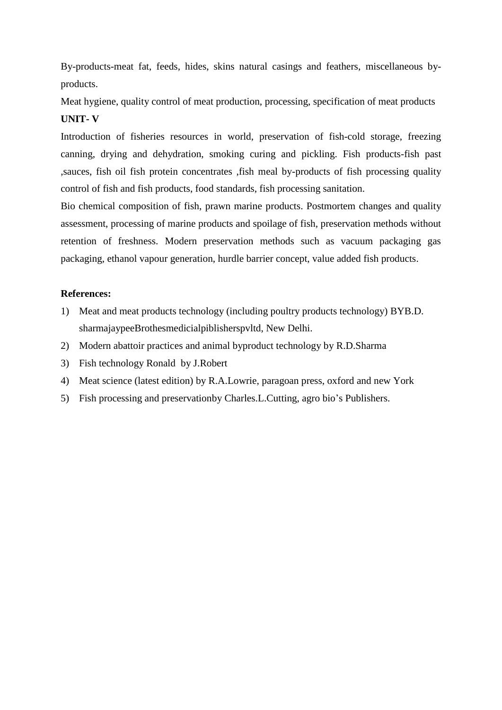By-products-meat fat, feeds, hides, skins natural casings and feathers, miscellaneous byproducts.

Meat hygiene, quality control of meat production, processing, specification of meat products **UNIT- V**

Introduction of fisheries resources in world, preservation of fish-cold storage, freezing canning, drying and dehydration, smoking curing and pickling. Fish products-fish past ,sauces, fish oil fish protein concentrates ,fish meal by-products of fish processing quality control of fish and fish products, food standards, fish processing sanitation.

Bio chemical composition of fish, prawn marine products. Postmortem changes and quality assessment, processing of marine products and spoilage of fish, preservation methods without retention of freshness. Modern preservation methods such as vacuum packaging gas packaging, ethanol vapour generation, hurdle barrier concept, value added fish products.

- 1) Meat and meat products technology (including poultry products technology) BYB.D. sharmajaypeeBrothesmedicialpiblisherspvltd, New Delhi.
- 2) Modern abattoir practices and animal byproduct technology by R.D.Sharma
- 3) Fish technology Ronald by J.Robert
- 4) Meat science (latest edition) by R.A.Lowrie, paragoan press, oxford and new York
- 5) Fish processing and preservationby Charles.L.Cutting, agro bio's Publishers.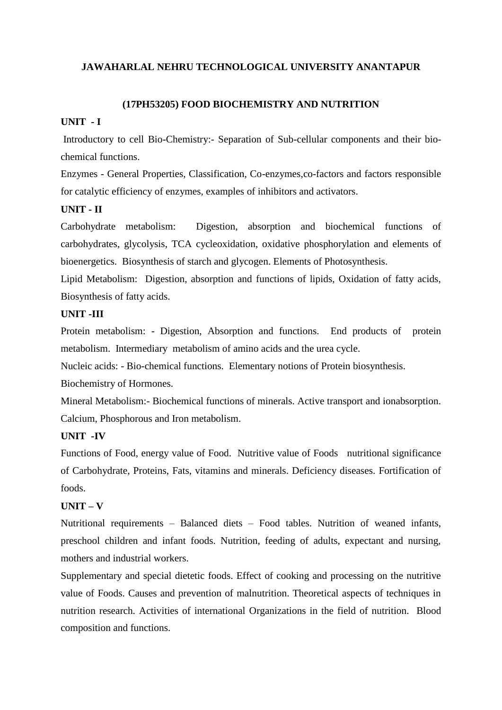### **(17PH53205) FOOD BIOCHEMISTRY AND NUTRITION**

### **UNIT - I**

Introductory to cell Bio-Chemistry:- Separation of Sub-cellular components and their biochemical functions.

Enzymes - General Properties, Classification, Co-enzymes,co-factors and factors responsible for catalytic efficiency of enzymes, examples of inhibitors and activators.

### **UNIT - II**

Carbohydrate metabolism: Digestion, absorption and biochemical functions of carbohydrates, glycolysis, TCA cycleoxidation, oxidative phosphorylation and elements of bioenergetics. Biosynthesis of starch and glycogen. Elements of Photosynthesis.

Lipid Metabolism: Digestion, absorption and functions of lipids, Oxidation of fatty acids, Biosynthesis of fatty acids.

### **UNIT -III**

Protein metabolism: - Digestion, Absorption and functions. End products of protein metabolism. Intermediary metabolism of amino acids and the urea cycle.

Nucleic acids: - Bio-chemical functions. Elementary notions of Protein biosynthesis.

Biochemistry of Hormones.

Mineral Metabolism:- Biochemical functions of minerals. Active transport and ionabsorption. Calcium, Phosphorous and Iron metabolism.

#### **UNIT -IV**

Functions of Food, energy value of Food. Nutritive value of Foods nutritional significance of Carbohydrate, Proteins, Fats, vitamins and minerals. Deficiency diseases. Fortification of foods.

### **UNIT – V**

Nutritional requirements – Balanced diets – Food tables. Nutrition of weaned infants, preschool children and infant foods. Nutrition, feeding of adults, expectant and nursing, mothers and industrial workers.

Supplementary and special dietetic foods. Effect of cooking and processing on the nutritive value of Foods. Causes and prevention of malnutrition. Theoretical aspects of techniques in nutrition research. Activities of international Organizations in the field of nutrition. Blood composition and functions.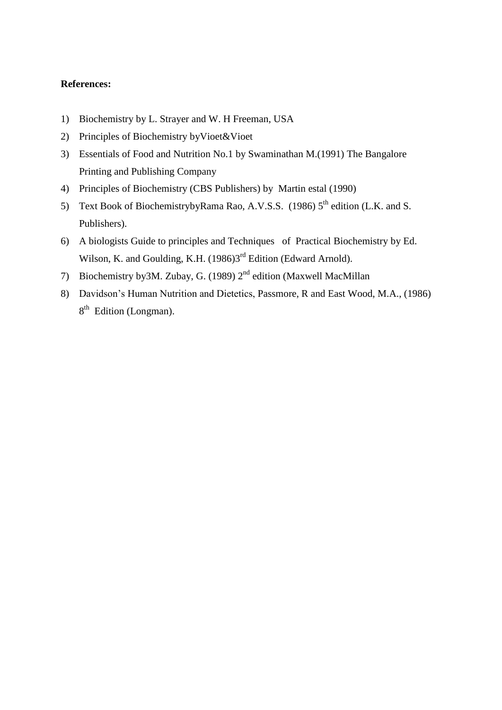- 1) Biochemistry by L. Strayer and W. H Freeman, USA
- 2) Principles of Biochemistry byVioet&Vioet
- 3) Essentials of Food and Nutrition No.1 by Swaminathan M.(1991) The Bangalore Printing and Publishing Company
- 4) Principles of Biochemistry (CBS Publishers) by Martin estal (1990)
- 5) Text Book of BiochemistrybyRama Rao, A.V.S.S. (1986)  $5<sup>th</sup>$  edition (L.K. and S. Publishers).
- 6) A biologists Guide to principles and Techniques of Practical Biochemistry by Ed. Wilson, K. and Goulding, K.H. (1986)<sup>3rd</sup> Edition (Edward Arnold).
- 7) Biochemistry by 3M. Zubay, G. (1989)  $2<sup>nd</sup>$  edition (Maxwell MacMillan
- 8) Davidson's Human Nutrition and Dietetics, Passmore, R and East Wood, M.A., (1986) 8<sup>th</sup> Edition (Longman).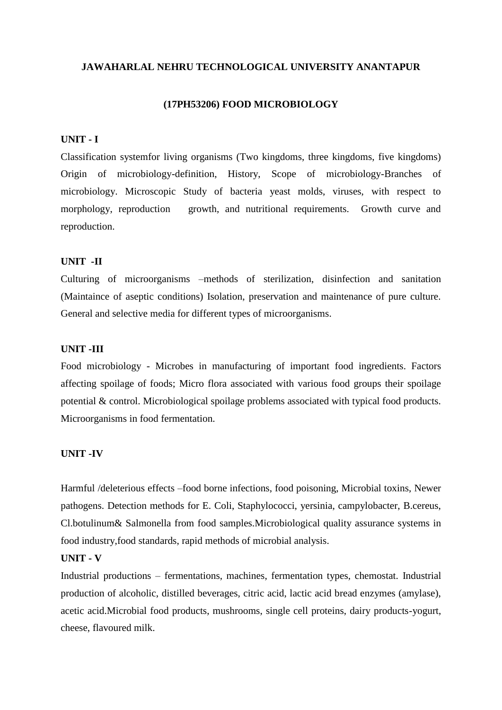#### **(17PH53206) FOOD MICROBIOLOGY**

#### **UNIT - I**

Classification systemfor living organisms (Two kingdoms, three kingdoms, five kingdoms) Origin of microbiology-definition, History, Scope of microbiology-Branches of microbiology. Microscopic Study of bacteria yeast molds, viruses, with respect to morphology, reproduction growth, and nutritional requirements. Growth curve and reproduction.

#### **UNIT -II**

Culturing of microorganisms –methods of sterilization, disinfection and sanitation (Maintaince of aseptic conditions) Isolation, preservation and maintenance of pure culture. General and selective media for different types of microorganisms.

### **UNIT -III**

Food microbiology - Microbes in manufacturing of important food ingredients. Factors affecting spoilage of foods; Micro flora associated with various food groups their spoilage potential & control. Microbiological spoilage problems associated with typical food products. Microorganisms in food fermentation.

### **UNIT -IV**

Harmful /deleterious effects –food borne infections, food poisoning, Microbial toxins, Newer pathogens. Detection methods for E. Coli, Staphylococci, yersinia, campylobacter, B.cereus, Cl.botulinum& Salmonella from food samples.Microbiological quality assurance systems in food industry,food standards, rapid methods of microbial analysis.

#### **UNIT - V**

Industrial productions – fermentations, machines, fermentation types, chemostat. Industrial production of alcoholic, distilled beverages, citric acid, lactic acid bread enzymes (amylase), acetic acid.Microbial food products, mushrooms, single cell proteins, dairy products-yogurt, cheese, flavoured milk.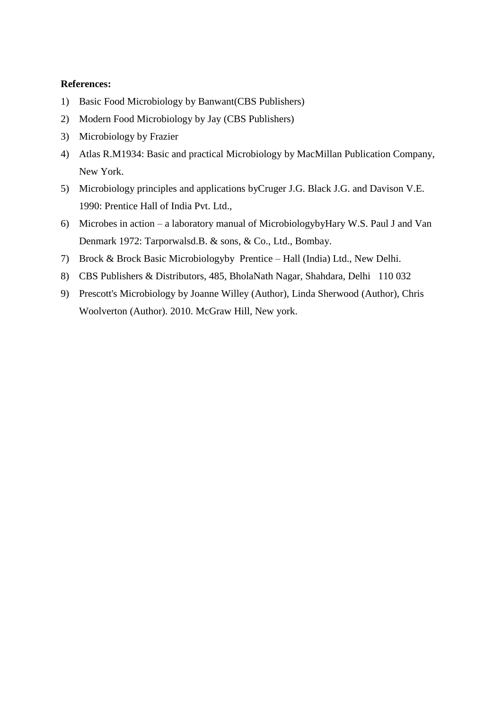- 1) Basic Food Microbiology by Banwant(CBS Publishers)
- 2) Modern Food Microbiology by Jay (CBS Publishers)
- 3) Microbiology by Frazier
- 4) Atlas R.M1934: Basic and practical Microbiology by MacMillan Publication Company, New York.
- 5) Microbiology principles and applications byCruger J.G. Black J.G. and Davison V.E. 1990: Prentice Hall of India Pvt. Ltd.,
- 6) Microbes in action a laboratory manual of MicrobiologybyHary W.S. Paul J and Van Denmark 1972: Tarporwalsd.B. & sons, & Co., Ltd., Bombay.
- 7) Brock & Brock Basic Microbiologyby Prentice Hall (India) Ltd., New Delhi.
- 8) CBS Publishers & Distributors, 485, BholaNath Nagar, Shahdara, Delhi 110 032
- 9) Prescott's Microbiology by [Joanne Willey](http://www.amazon.in/s/ref=dp_byline_sr_book_1?ie=UTF8&field-author=Joanne+Willey&search-alias=stripbooks) (Author), [Linda Sherwood](http://www.amazon.in/s/ref=dp_byline_sr_book_2?ie=UTF8&field-author=Linda+Sherwood&search-alias=stripbooks) (Author), [Chris](http://www.amazon.in/s/ref=dp_byline_sr_book_3?ie=UTF8&field-author=Chris+Woolverton&search-alias=stripbooks)  [Woolverton](http://www.amazon.in/s/ref=dp_byline_sr_book_3?ie=UTF8&field-author=Chris+Woolverton&search-alias=stripbooks) (Author). 2010. McGraw Hill, New york.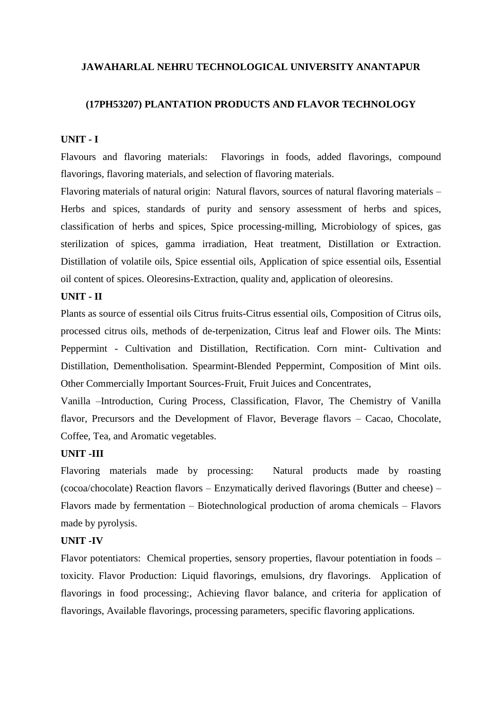### **(17PH53207) PLANTATION PRODUCTS AND FLAVOR TECHNOLOGY**

#### **UNIT - I**

Flavours and flavoring materials: Flavorings in foods, added flavorings, compound flavorings, flavoring materials, and selection of flavoring materials.

Flavoring materials of natural origin: Natural flavors, sources of natural flavoring materials – Herbs and spices, standards of purity and sensory assessment of herbs and spices, classification of herbs and spices, Spice processing-milling, Microbiology of spices, gas sterilization of spices, gamma irradiation, Heat treatment, Distillation or Extraction. Distillation of volatile oils, Spice essential oils, Application of spice essential oils, Essential oil content of spices. Oleoresins-Extraction, quality and, application of oleoresins.

#### **UNIT - II**

Plants as source of essential oils Citrus fruits-Citrus essential oils, Composition of Citrus oils, processed citrus oils, methods of de-terpenization, Citrus leaf and Flower oils. The Mints: Peppermint - Cultivation and Distillation, Rectification. Corn mint- Cultivation and Distillation, Dementholisation. Spearmint-Blended Peppermint, Composition of Mint oils. Other Commercially Important Sources-Fruit, Fruit Juices and Concentrates,

Vanilla –Introduction, Curing Process, Classification, Flavor, The Chemistry of Vanilla flavor, Precursors and the Development of Flavor, Beverage flavors – Cacao, Chocolate, Coffee, Tea, and Aromatic vegetables.

#### **UNIT -III**

Flavoring materials made by processing: Natural products made by roasting (cocoa/chocolate) Reaction flavors – Enzymatically derived flavorings (Butter and cheese) – Flavors made by fermentation – Biotechnological production of aroma chemicals – Flavors made by pyrolysis.

### **UNIT -IV**

Flavor potentiators: Chemical properties, sensory properties, flavour potentiation in foods – toxicity. Flavor Production: Liquid flavorings, emulsions, dry flavorings. Application of flavorings in food processing:, Achieving flavor balance, and criteria for application of flavorings, Available flavorings, processing parameters, specific flavoring applications.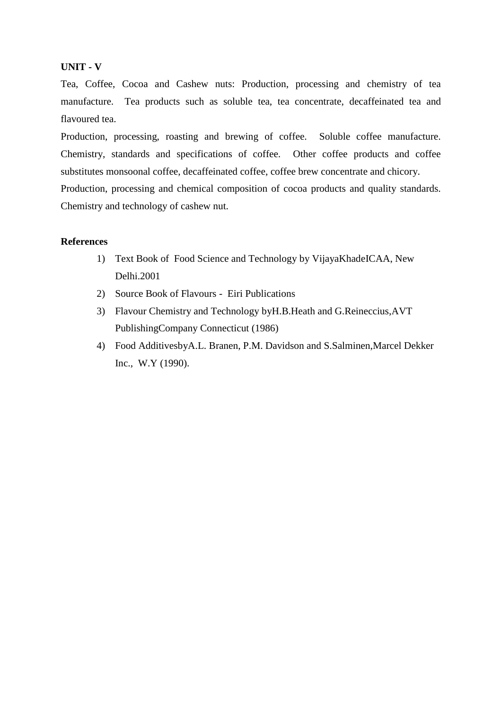### **UNIT - V**

Tea, Coffee, Cocoa and Cashew nuts: Production, processing and chemistry of tea manufacture. Tea products such as soluble tea, tea concentrate, decaffeinated tea and flavoured tea.

Production, processing, roasting and brewing of coffee. Soluble coffee manufacture. Chemistry, standards and specifications of coffee. Other coffee products and coffee substitutes monsoonal coffee, decaffeinated coffee, coffee brew concentrate and chicory. Production, processing and chemical composition of cocoa products and quality standards. Chemistry and technology of cashew nut.

- 1) Text Book of Food Science and Technology by VijayaKhadeICAA, New Delhi.2001
- 2) Source Book of Flavours Eiri Publications
- 3) Flavour Chemistry and Technology byH.B.Heath and G.Reineccius,AVT PublishingCompany Connecticut (1986)
- 4) Food AdditivesbyA.L. Branen, P.M. Davidson and S.Salminen,Marcel Dekker Inc., W.Y (1990).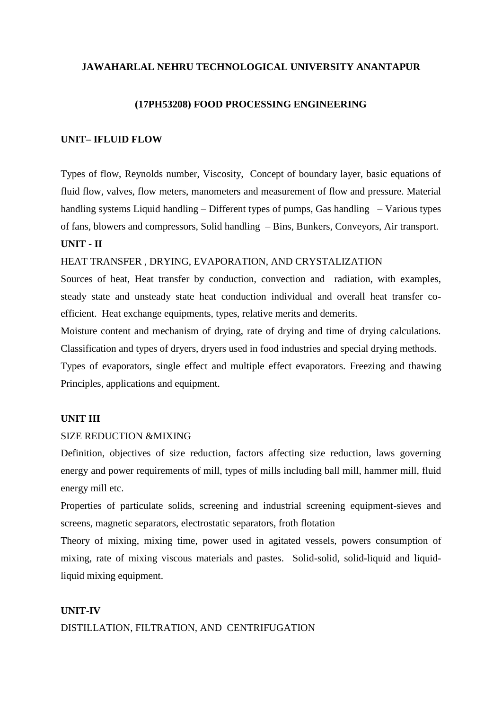#### **(17PH53208) FOOD PROCESSING ENGINEERING**

#### **UNIT– IFLUID FLOW**

Types of flow, Reynolds number, Viscosity, Concept of boundary layer, basic equations of fluid flow, valves, flow meters, manometers and measurement of flow and pressure. Material handling systems Liquid handling – Different types of pumps, Gas handling – Various types of fans, blowers and compressors, Solid handling – Bins, Bunkers, Conveyors, Air transport. **UNIT - II** 

#### HEAT TRANSFER , DRYING, EVAPORATION, AND CRYSTALIZATION

Sources of heat, Heat transfer by conduction, convection and radiation, with examples, steady state and unsteady state heat conduction individual and overall heat transfer coefficient. Heat exchange equipments, types, relative merits and demerits.

Moisture content and mechanism of drying, rate of drying and time of drying calculations. Classification and types of dryers, dryers used in food industries and special drying methods. Types of evaporators, single effect and multiple effect evaporators. Freezing and thawing Principles, applications and equipment.

#### **UNIT III**

#### SIZE REDUCTION &MIXING

Definition, objectives of size reduction, factors affecting size reduction, laws governing energy and power requirements of mill, types of mills including ball mill, hammer mill, fluid energy mill etc.

Properties of particulate solids, screening and industrial screening equipment-sieves and screens, magnetic separators, electrostatic separators, froth flotation

Theory of mixing, mixing time, power used in agitated vessels, powers consumption of mixing, rate of mixing viscous materials and pastes. Solid-solid, solid-liquid and liquidliquid mixing equipment.

# **UNIT-IV** DISTILLATION, FILTRATION, AND CENTRIFUGATION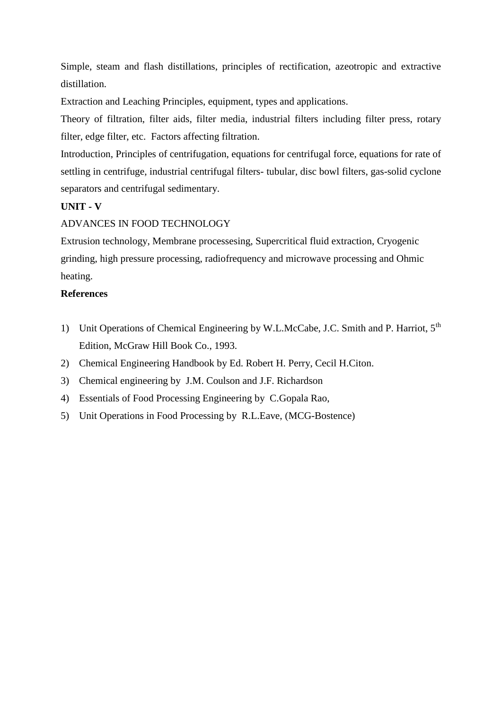Simple, steam and flash distillations, principles of rectification, azeotropic and extractive distillation.

Extraction and Leaching Principles, equipment, types and applications.

Theory of filtration, filter aids, filter media, industrial filters including filter press, rotary filter, edge filter, etc. Factors affecting filtration.

Introduction, Principles of centrifugation, equations for centrifugal force, equations for rate of settling in centrifuge, industrial centrifugal filters- tubular, disc bowl filters, gas-solid cyclone separators and centrifugal sedimentary.

# **UNIT - V**

# ADVANCES IN FOOD TECHNOLOGY

Extrusion technology, Membrane processesing, Supercritical fluid extraction, Cryogenic grinding, high pressure processing, radiofrequency and microwave processing and Ohmic heating.

- 1) Unit Operations of Chemical Engineering by W.L.McCabe, J.C. Smith and P. Harriot, 5<sup>th</sup> Edition, McGraw Hill Book Co., 1993.
- 2) Chemical Engineering Handbook by Ed. Robert H. Perry, Cecil H.Citon.
- 3) Chemical engineering by J.M. Coulson and J.F. Richardson
- 4) Essentials of Food Processing Engineering by C.Gopala Rao,
- 5) Unit Operations in Food Processing by R.L.Eave, (MCG-Bostence)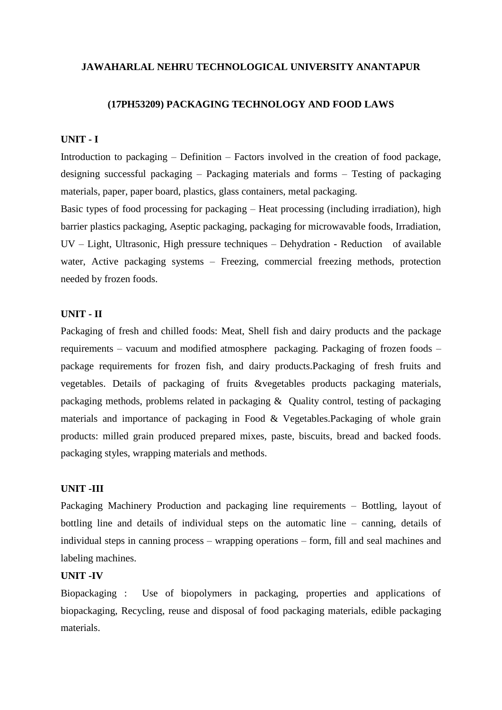#### **(17PH53209) PACKAGING TECHNOLOGY AND FOOD LAWS**

#### **UNIT - I**

Introduction to packaging – Definition – Factors involved in the creation of food package, designing successful packaging – Packaging materials and forms – Testing of packaging materials, paper, paper board, plastics, glass containers, metal packaging.

Basic types of food processing for packaging – Heat processing (including irradiation), high barrier plastics packaging, Aseptic packaging, packaging for microwavable foods, Irradiation, UV – Light, Ultrasonic, High pressure techniques – Dehydration - Reduction of available water, Active packaging systems – Freezing, commercial freezing methods, protection needed by frozen foods.

#### **UNIT - II**

Packaging of fresh and chilled foods: Meat, Shell fish and dairy products and the package requirements – vacuum and modified atmosphere packaging. Packaging of frozen foods – package requirements for frozen fish, and dairy products.Packaging of fresh fruits and vegetables. Details of packaging of fruits &vegetables products packaging materials, packaging methods, problems related in packaging & Quality control, testing of packaging materials and importance of packaging in Food & Vegetables.Packaging of whole grain products: milled grain produced prepared mixes, paste, biscuits, bread and backed foods. packaging styles, wrapping materials and methods.

### **UNIT -III**

Packaging Machinery Production and packaging line requirements – Bottling, layout of bottling line and details of individual steps on the automatic line – canning, details of individual steps in canning process – wrapping operations – form, fill and seal machines and labeling machines.

### **UNIT -IV**

Biopackaging : Use of biopolymers in packaging, properties and applications of biopackaging, Recycling, reuse and disposal of food packaging materials, edible packaging materials.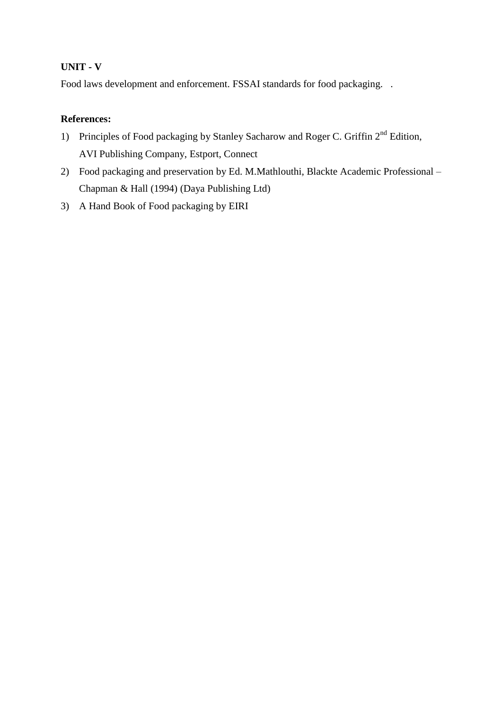# **UNIT - V**

Food laws development and enforcement. FSSAI standards for food packaging. .

- 1) Principles of Food packaging by Stanley Sacharow and Roger C. Griffin 2<sup>nd</sup> Edition, AVI Publishing Company, Estport, Connect
- 2) Food packaging and preservation by Ed. M.Mathlouthi, Blackte Academic Professional Chapman & Hall (1994) (Daya Publishing Ltd)
- 3) A Hand Book of Food packaging by EIRI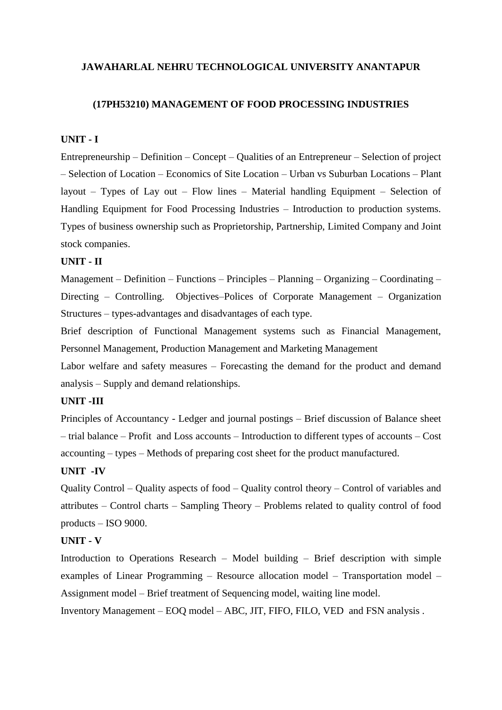#### **(17PH53210) MANAGEMENT OF FOOD PROCESSING INDUSTRIES**

#### **UNIT - I**

Entrepreneurship – Definition – Concept – Qualities of an Entrepreneur – Selection of project – Selection of Location – Economics of Site Location – Urban vs Suburban Locations – Plant layout – Types of Lay out – Flow lines – Material handling Equipment – Selection of Handling Equipment for Food Processing Industries – Introduction to production systems. Types of business ownership such as Proprietorship, Partnership, Limited Company and Joint stock companies.

#### **UNIT - II**

Management – Definition – Functions – Principles – Planning – Organizing – Coordinating – Directing – Controlling. Objectives–Polices of Corporate Management – Organization Structures – types-advantages and disadvantages of each type.

Brief description of Functional Management systems such as Financial Management, Personnel Management, Production Management and Marketing Management

Labor welfare and safety measures – Forecasting the demand for the product and demand analysis – Supply and demand relationships.

### **UNIT -III**

Principles of Accountancy - Ledger and journal postings – Brief discussion of Balance sheet – trial balance – Profit and Loss accounts – Introduction to different types of accounts – Cost accounting – types – Methods of preparing cost sheet for the product manufactured.

#### **UNIT -IV**

Quality Control – Quality aspects of food – Quality control theory – Control of variables and attributes – Control charts – Sampling Theory – Problems related to quality control of food products – ISO 9000.

### **UNIT - V**

Introduction to Operations Research – Model building – Brief description with simple examples of Linear Programming – Resource allocation model – Transportation model – Assignment model – Brief treatment of Sequencing model, waiting line model.

Inventory Management – EOQ model – ABC, JIT, FIFO, FILO, VED and FSN analysis .